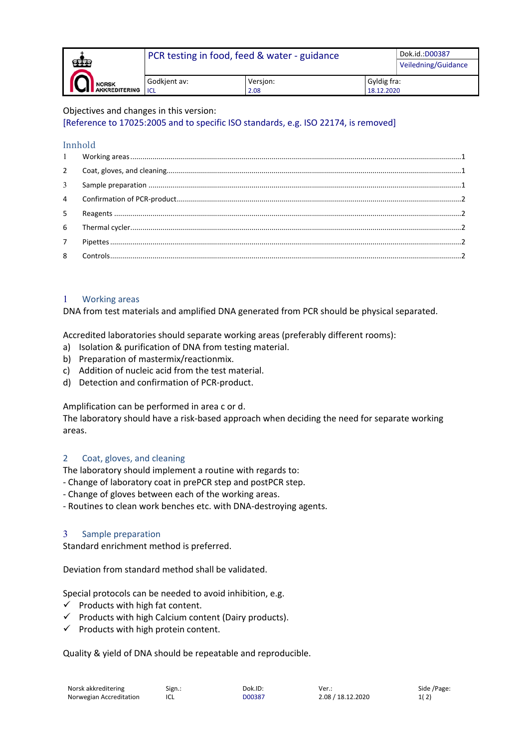|                                           | PCR testing in food, feed & water - guidance |                  |                           | Dok.id.: D00387     |
|-------------------------------------------|----------------------------------------------|------------------|---------------------------|---------------------|
| ŒĒ                                        |                                              |                  |                           | Veiledning/Guidance |
| E<br><b>NORSK</b><br><b>AKKREDITERING</b> | Godkjent av:<br><b>ICL</b>                   | Versjon:<br>2.08 | Gyldig fra:<br>18.12.2020 |                     |
|                                           |                                              |                  |                           |                     |

Objectives and changes in this version:

[Reference to 17025:2005 and to specific ISO standards, e.g. ISO 22174, is removed]

#### Innhold

| 5              |  |
|----------------|--|
| 6              |  |
| 7 <sup>7</sup> |  |
| 8              |  |
|                |  |

### <span id="page-0-0"></span>1 Working areas

DNA from test materials and amplified DNA generated from PCR should be physical separated.

Accredited laboratories should separate working areas (preferably different rooms):

- a) Isolation & purification of DNA from testing material.
- b) Preparation of mastermix/reactionmix.
- c) Addition of nucleic acid from the test material.
- d) Detection and confirmation of PCR-product.

Amplification can be performed in area c or d.

The laboratory should have a risk-based approach when deciding the need for separate working areas.

# <span id="page-0-1"></span>2 Coat, gloves, and cleaning

The laboratory should implement a routine with regards to:

- Change of laboratory coat in prePCR step and postPCR step.
- Change of gloves between each of the working areas.
- <span id="page-0-2"></span>- Routines to clean work benches etc. with DNA-destroying agents.

### 3 Sample preparation

Standard enrichment method is preferred.

Deviation from standard method shall be validated.

Special protocols can be needed to avoid inhibition, e.g.

- $\checkmark$  Products with high fat content.
- $\checkmark$  Products with high Calcium content (Dairy products).
- $\checkmark$  Products with high protein content.

Quality & yield of DNA should be repeatable and reproducible.

| Norsk akkreditering     | Sign.: | Dok.ID: |
|-------------------------|--------|---------|
| Norwegian Accreditation | ICL    | D00387  |